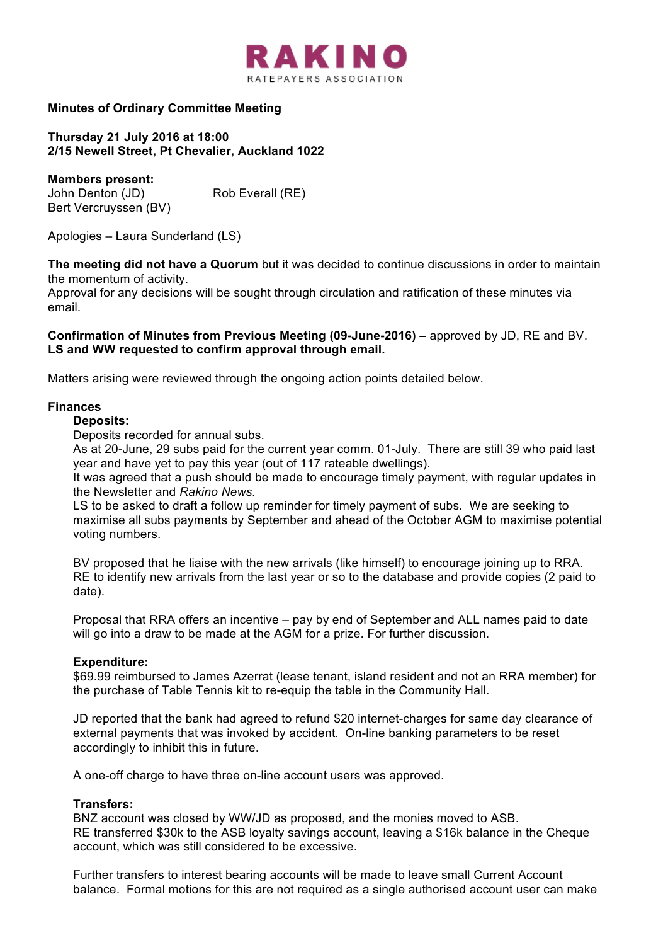

## **Minutes of Ordinary Committee Meeting**

**Thursday 21 July 2016 at 18:00 2/15 Newell Street, Pt Chevalier, Auckland 1022**

**Members present:** John Denton (JD) Rob Everall (RE) Bert Vercruyssen (BV)

Apologies – Laura Sunderland (LS)

**The meeting did not have a Quorum** but it was decided to continue discussions in order to maintain the momentum of activity.

Approval for any decisions will be sought through circulation and ratification of these minutes via email.

#### **Confirmation of Minutes from Previous Meeting (09-June-2016) –** approved by JD, RE and BV. **LS and WW requested to confirm approval through email.**

Matters arising were reviewed through the ongoing action points detailed below.

#### **Finances**

**Deposits:**

Deposits recorded for annual subs.

As at 20-June, 29 subs paid for the current year comm. 01-July. There are still 39 who paid last year and have yet to pay this year (out of 117 rateable dwellings).

It was agreed that a push should be made to encourage timely payment, with regular updates in the Newsletter and *Rakino News.* 

LS to be asked to draft a follow up reminder for timely payment of subs. We are seeking to maximise all subs payments by September and ahead of the October AGM to maximise potential voting numbers.

BV proposed that he liaise with the new arrivals (like himself) to encourage joining up to RRA. RE to identify new arrivals from the last year or so to the database and provide copies (2 paid to date).

Proposal that RRA offers an incentive – pay by end of September and ALL names paid to date will go into a draw to be made at the AGM for a prize. For further discussion.

## **Expenditure:**

\$69.99 reimbursed to James Azerrat (lease tenant, island resident and not an RRA member) for the purchase of Table Tennis kit to re-equip the table in the Community Hall.

JD reported that the bank had agreed to refund \$20 internet-charges for same day clearance of external payments that was invoked by accident. On-line banking parameters to be reset accordingly to inhibit this in future.

A one-off charge to have three on-line account users was approved.

#### **Transfers:**

BNZ account was closed by WW/JD as proposed, and the monies moved to ASB. RE transferred \$30k to the ASB loyalty savings account, leaving a \$16k balance in the Cheque account, which was still considered to be excessive.

Further transfers to interest bearing accounts will be made to leave small Current Account balance. Formal motions for this are not required as a single authorised account user can make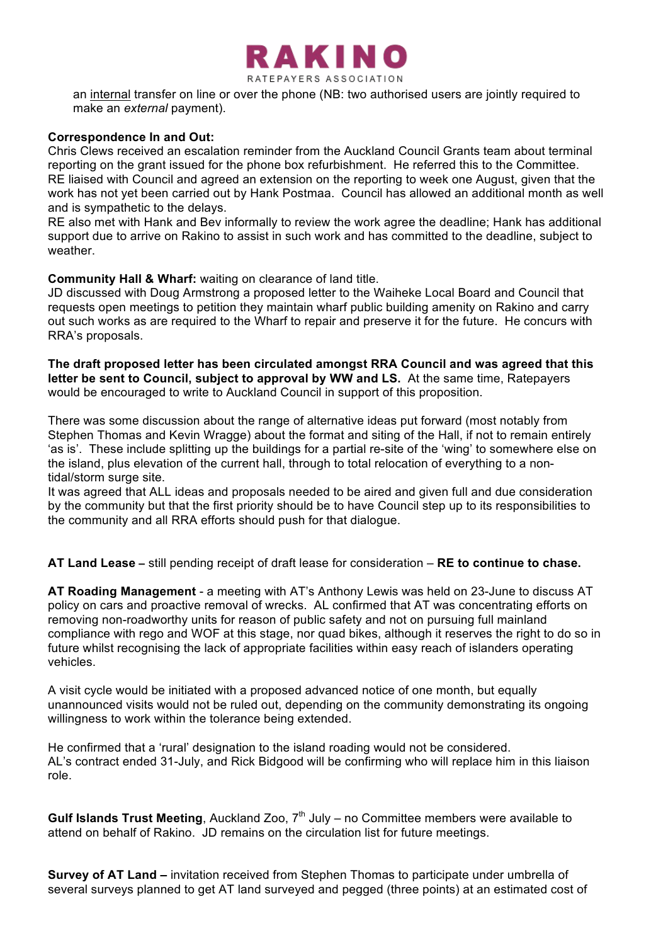

an internal transfer on line or over the phone (NB: two authorised users are jointly required to make an *external* payment).

#### **Correspondence In and Out:**

Chris Clews received an escalation reminder from the Auckland Council Grants team about terminal reporting on the grant issued for the phone box refurbishment. He referred this to the Committee. RE liaised with Council and agreed an extension on the reporting to week one August, given that the work has not yet been carried out by Hank Postmaa. Council has allowed an additional month as well and is sympathetic to the delays.

RE also met with Hank and Bev informally to review the work agree the deadline; Hank has additional support due to arrive on Rakino to assist in such work and has committed to the deadline, subject to weather.

### **Community Hall & Wharf:** waiting on clearance of land title.

JD discussed with Doug Armstrong a proposed letter to the Waiheke Local Board and Council that requests open meetings to petition they maintain wharf public building amenity on Rakino and carry out such works as are required to the Wharf to repair and preserve it for the future. He concurs with RRA's proposals.

**The draft proposed letter has been circulated amongst RRA Council and was agreed that this letter be sent to Council, subject to approval by WW and LS.** At the same time, Ratepayers would be encouraged to write to Auckland Council in support of this proposition.

There was some discussion about the range of alternative ideas put forward (most notably from Stephen Thomas and Kevin Wragge) about the format and siting of the Hall, if not to remain entirely 'as is'. These include splitting up the buildings for a partial re-site of the 'wing' to somewhere else on the island, plus elevation of the current hall, through to total relocation of everything to a nontidal/storm surge site.

It was agreed that ALL ideas and proposals needed to be aired and given full and due consideration by the community but that the first priority should be to have Council step up to its responsibilities to the community and all RRA efforts should push for that dialogue.

**AT Land Lease –** still pending receipt of draft lease for consideration – **RE to continue to chase.** 

**AT Roading Management** - a meeting with AT's Anthony Lewis was held on 23-June to discuss AT policy on cars and proactive removal of wrecks. AL confirmed that AT was concentrating efforts on removing non-roadworthy units for reason of public safety and not on pursuing full mainland compliance with rego and WOF at this stage, nor quad bikes, although it reserves the right to do so in future whilst recognising the lack of appropriate facilities within easy reach of islanders operating vehicles.

A visit cycle would be initiated with a proposed advanced notice of one month, but equally unannounced visits would not be ruled out, depending on the community demonstrating its ongoing willingness to work within the tolerance being extended.

He confirmed that a 'rural' designation to the island roading would not be considered. AL's contract ended 31-July, and Rick Bidgood will be confirming who will replace him in this liaison role.

**Gulf Islands Trust Meeting**, Auckland Zoo, 7<sup>th</sup> July – no Committee members were available to attend on behalf of Rakino. JD remains on the circulation list for future meetings.

**Survey of AT Land –** invitation received from Stephen Thomas to participate under umbrella of several surveys planned to get AT land surveyed and pegged (three points) at an estimated cost of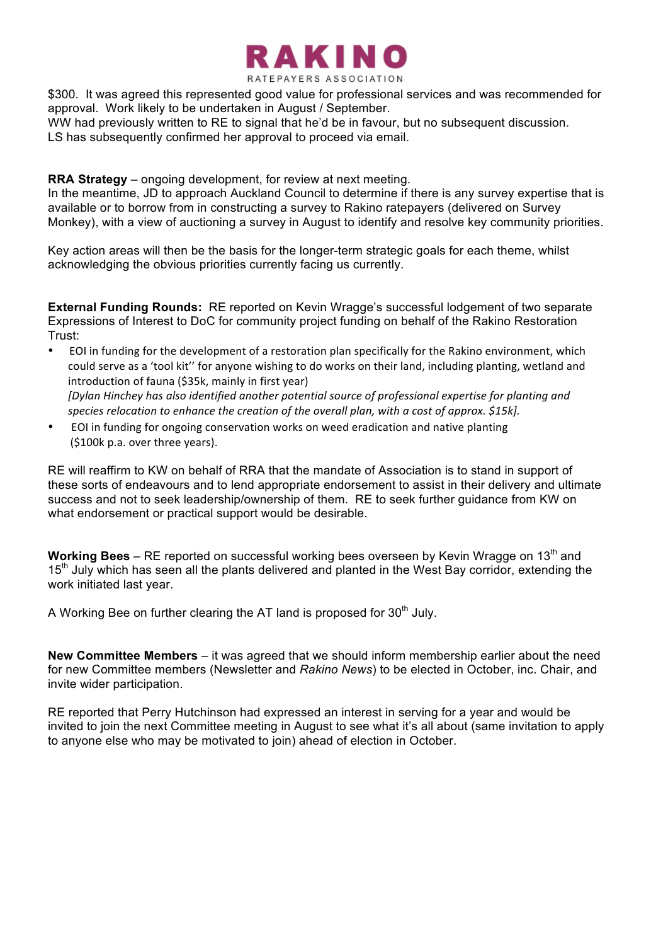

\$300. It was agreed this represented good value for professional services and was recommended for approval. Work likely to be undertaken in August / September.

WW had previously written to RE to signal that he'd be in favour, but no subsequent discussion. LS has subsequently confirmed her approval to proceed via email.

**RRA Strategy** – ongoing development, for review at next meeting.

In the meantime, JD to approach Auckland Council to determine if there is any survey expertise that is available or to borrow from in constructing a survey to Rakino ratepayers (delivered on Survey Monkey), with a view of auctioning a survey in August to identify and resolve key community priorities.

Key action areas will then be the basis for the longer-term strategic goals for each theme, whilst acknowledging the obvious priorities currently facing us currently.

**External Funding Rounds:** RE reported on Kevin Wragge's successful lodgement of two separate Expressions of Interest to DoC for community project funding on behalf of the Rakino Restoration Trust:

- EOI in funding for the development of a restoration plan specifically for the Rakino environment, which could serve as a 'tool kit'' for anyone wishing to do works on their land, including planting, wetland and introduction of fauna (\$35k, mainly in first year) *[Dylan Hinchey has also identified another potential source of professional expertise for planting and* species relocation to enhance the creation of the overall plan, with a cost of approx. \$15k].
- EOI in funding for ongoing conservation works on weed eradication and native planting (\$100k p.a. over three years).

RE will reaffirm to KW on behalf of RRA that the mandate of Association is to stand in support of these sorts of endeavours and to lend appropriate endorsement to assist in their delivery and ultimate success and not to seek leadership/ownership of them. RE to seek further guidance from KW on what endorsement or practical support would be desirable.

**Working Bees** – RE reported on successful working bees overseen by Kevin Wragge on 13<sup>th</sup> and 15<sup>th</sup> July which has seen all the plants delivered and planted in the West Bay corridor, extending the work initiated last year.

A Working Bee on further clearing the AT land is proposed for 30<sup>th</sup> July.

**New Committee Members** – it was agreed that we should inform membership earlier about the need for new Committee members (Newsletter and *Rakino News*) to be elected in October, inc. Chair, and invite wider participation.

RE reported that Perry Hutchinson had expressed an interest in serving for a year and would be invited to join the next Committee meeting in August to see what it's all about (same invitation to apply to anyone else who may be motivated to join) ahead of election in October.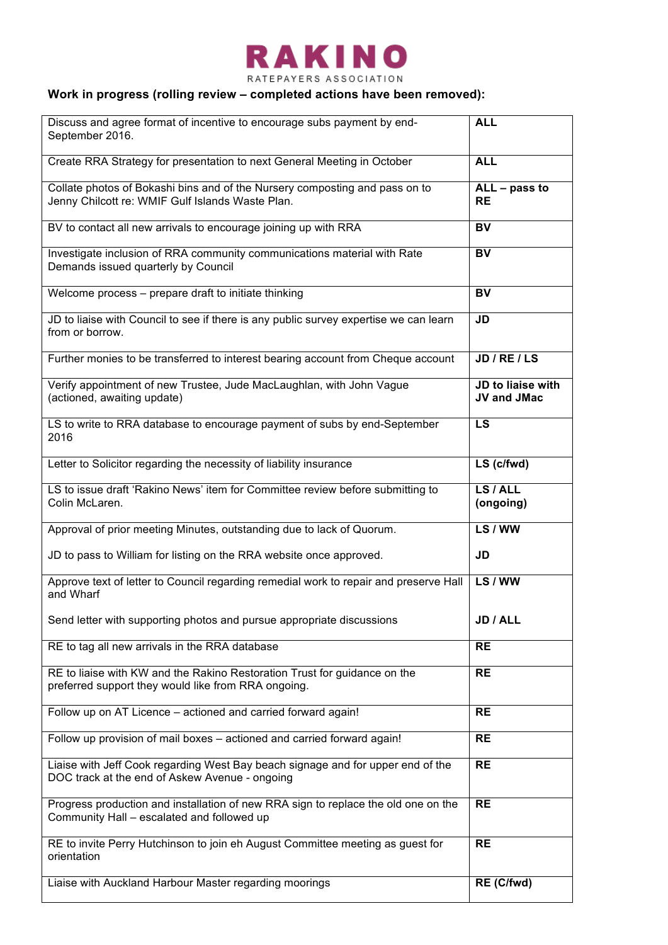

RATEPAYERS ASSOCIATION

# **Work in progress (rolling review – completed actions have been removed):**

| Discuss and agree format of incentive to encourage subs payment by end-<br>September 2016.                                        | <b>ALL</b>                              |
|-----------------------------------------------------------------------------------------------------------------------------------|-----------------------------------------|
| Create RRA Strategy for presentation to next General Meeting in October                                                           | <b>ALL</b>                              |
| Collate photos of Bokashi bins and of the Nursery composting and pass on to<br>Jenny Chilcott re: WMIF Gulf Islands Waste Plan.   | $ALL - pass to$<br><b>RE</b>            |
| BV to contact all new arrivals to encourage joining up with RRA                                                                   | BV                                      |
| Investigate inclusion of RRA community communications material with Rate<br>Demands issued quarterly by Council                   | <b>BV</b>                               |
| Welcome process - prepare draft to initiate thinking                                                                              | BV                                      |
| JD to liaise with Council to see if there is any public survey expertise we can learn<br>from or borrow.                          | <b>JD</b>                               |
| Further monies to be transferred to interest bearing account from Cheque account                                                  | JD / RE / LS                            |
| Verify appointment of new Trustee, Jude MacLaughlan, with John Vague<br>(actioned, awaiting update)                               | JD to liaise with<br><b>JV and JMac</b> |
| LS to write to RRA database to encourage payment of subs by end-September<br>2016                                                 | LS                                      |
| Letter to Solicitor regarding the necessity of liability insurance                                                                | LS (c/fwd)                              |
| LS to issue draft 'Rakino News' item for Committee review before submitting to<br>Colin McLaren.                                  | LS / ALL<br>(ongoing)                   |
| Approval of prior meeting Minutes, outstanding due to lack of Quorum.                                                             | LS / WW                                 |
| JD to pass to William for listing on the RRA website once approved.                                                               | JD                                      |
| Approve text of letter to Council regarding remedial work to repair and preserve Hall<br>and Wharf                                | LS / WW                                 |
| Send letter with supporting photos and pursue appropriate discussions                                                             | JD / ALL                                |
| RE to tag all new arrivals in the RRA database                                                                                    | <b>RE</b>                               |
| RE to liaise with KW and the Rakino Restoration Trust for guidance on the<br>preferred support they would like from RRA ongoing.  | <b>RE</b>                               |
| Follow up on AT Licence - actioned and carried forward again!                                                                     | <b>RE</b>                               |
| Follow up provision of mail boxes - actioned and carried forward again!                                                           | <b>RE</b>                               |
| Liaise with Jeff Cook regarding West Bay beach signage and for upper end of the<br>DOC track at the end of Askew Avenue - ongoing | <b>RE</b>                               |
| Progress production and installation of new RRA sign to replace the old one on the<br>Community Hall - escalated and followed up  | <b>RE</b>                               |
| RE to invite Perry Hutchinson to join eh August Committee meeting as guest for<br>orientation                                     | <b>RE</b>                               |
| Liaise with Auckland Harbour Master regarding moorings                                                                            | RE (C/fwd)                              |